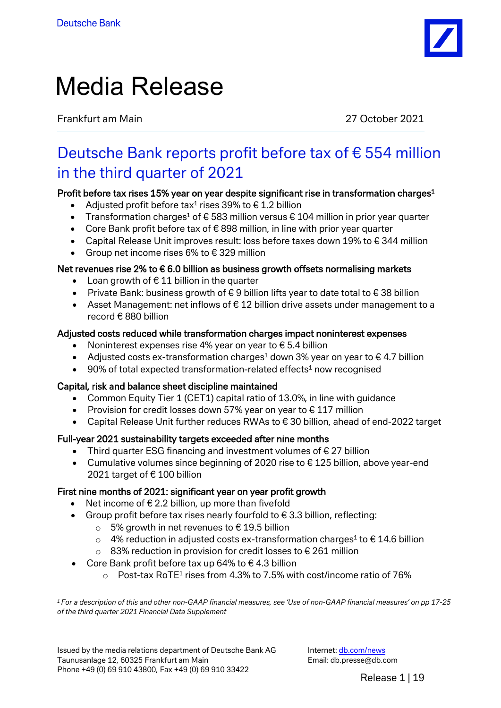

# Media Release

Frankfurt am Main 27 October 2021

# Deutsche Bank reports profit before tax of € 554 million in the third quarter of 2021

## Profit before tax rises 15% year on year despite significant rise in transformation charges<sup>1</sup>

- Adjusted profit before tax<sup>1</sup> rises 39% to  $\epsilon$  1.2 billion
- Transformation charges<sup>1</sup> of  $\epsilon$  583 million versus  $\epsilon$  104 million in prior year quarter
- Core Bank profit before tax of € 898 million, in line with prior year quarter
- Capital Release Unit improves result: loss before taxes down 19% to  $\epsilon$  344 million
- Group net income rises 6% to  $\epsilon$  329 million

## Net revenues rise 2% to  $\epsilon$  6.0 billion as business growth offsets normalising markets

- Loan growth of  $\epsilon$  11 billion in the quarter
- Private Bank: business growth of € 9 billion lifts year to date total to € 38 billion
- Asset Management: net inflows of  $\epsilon$  12 billion drive assets under management to a record € 880 billion

#### Adjusted costs reduced while transformation charges impact noninterest expenses

- Noninterest expenses rise 4% year on year to  $\epsilon$  5.4 billion
- Adjusted costs ex-transformation charges<sup>1</sup> down 3% year on year to  $\epsilon$  4.7 billion
- 90% of total expected transformation-related effects<sup>1</sup> now recognised

#### Capital, risk and balance sheet discipline maintained

- Common Equity Tier 1 (CET1) capital ratio of 13.0%, in line with guidance
- Provision for credit losses down 57% year on year to  $\epsilon$  117 million
- Capital Release Unit further reduces RWAs to € 30 billion, ahead of end-2022 target

#### Full-year 2021 sustainability targets exceeded after nine months

- Third quarter ESG financing and investment volumes of  $\epsilon$  27 billion
- Cumulative volumes since beginning of 2020 rise to € 125 billion, above year-end 2021 target of € 100 billion

#### First nine months of 2021: significant year on year profit growth

- Net income of  $\epsilon$  2.2 billion, up more than fivefold
- Group profit before tax rises nearly fourfold to  $\epsilon$  3.3 billion, reflecting:
	- 5% growth in net revenues to  $€ 19.5$  billion
	- $\circ$  4% reduction in adjusted costs ex-transformation charges<sup>1</sup> to €14.6 billion
	- o 83% reduction in provision for credit losses to € 261 million
- Core Bank profit before tax up 64% to  $\epsilon$  4.3 billion
	- $\circ$  Post-tax RoTE<sup>1</sup> rises from 4.3% to 7.5% with cost/income ratio of 76%

*1 For a description of this and other non-GAAP financial measures, see 'Use of non-GAAP financial measures' on pp 17-25 of the third quarter 2021 Financial Data Supplement*

Issued by the media relations department of Deutsche Bank AG Taunusanlage 12, 60325 Frankfurt am Main Phone +49 (0) 69 910 43800, Fax +49 (0) 69 910 33422

Internet: [db.com/news](https://www.db.com/newsroom) Email: db.presse@db.com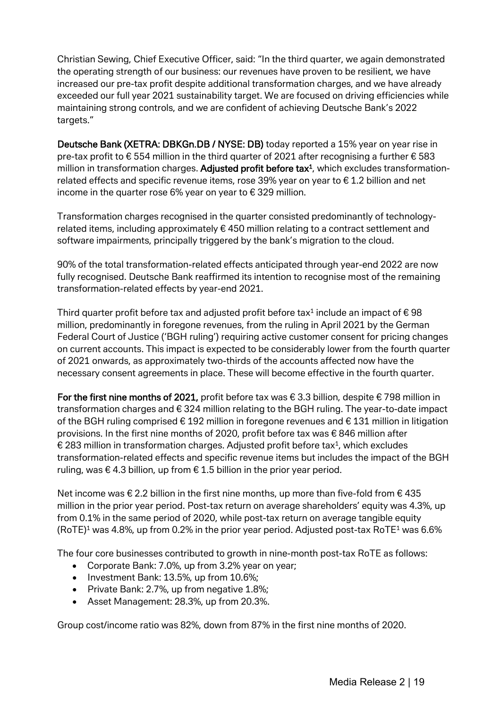Christian Sewing, Chief Executive Officer, said: "In the third quarter, we again demonstrated the operating strength of our business: our revenues have proven to be resilient, we have increased our pre-tax profit despite additional transformation charges, and we have already exceeded our full year 2021 sustainability target. We are focused on driving efficiencies while maintaining strong controls, and we are confident of achieving Deutsche Bank's 2022 targets."

Deutsche Bank (XETRA: DBKGn.DB / NYSE: DB) today reported a 15% year on year rise in pre-tax profit to € 554 million in the third quarter of 2021 after recognising a further € 583 million in transformation charges. Adjusted profit before tax $<sup>1</sup>$ , which excludes transformation-</sup> related effects and specific revenue items, rose 39% year on year to € 1.2 billion and net income in the quarter rose 6% year on year to  $\epsilon$  329 million.

Transformation charges recognised in the quarter consisted predominantly of technologyrelated items, including approximately € 450 million relating to a contract settlement and software impairments, principally triggered by the bank's migration to the cloud.

90% of the total transformation-related effects anticipated through year-end 2022 are now fully recognised. Deutsche Bank reaffirmed its intention to recognise most of the remaining transformation-related effects by year-end 2021.

Third quarter profit before tax and adjusted profit before tax<sup>1</sup> include an impact of  $\epsilon$  98 million, predominantly in foregone revenues, from the ruling in April 2021 by the German Federal Court of Justice ('BGH ruling') requiring active customer consent for pricing changes on current accounts. This impact is expected to be considerably lower from the fourth quarter of 2021 onwards, as approximately two-thirds of the accounts affected now have the necessary consent agreements in place. These will become effective in the fourth quarter.

For the first nine months of 2021, profit before tax was  $\epsilon$  3.3 billion, despite  $\epsilon$  798 million in transformation charges and € 324 million relating to the BGH ruling. The year-to-date impact of the BGH ruling comprised € 192 million in foregone revenues and € 131 million in litigation provisions. In the first nine months of 2020, profit before tax was € 846 million after € 283 million in transformation charges. Adjusted profit before tax<sup>1</sup>, which excludes transformation-related effects and specific revenue items but includes the impact of the BGH ruling, was  $\epsilon$  4.3 billion, up from  $\epsilon$  1.5 billion in the prior year period.

Net income was € 2.2 billion in the first nine months, up more than five-fold from € 435 million in the prior year period. Post-tax return on average shareholders' equity was 4.3%, up from 0.1% in the same period of 2020, while post-tax return on average tangible equity  $(ROTE)^1$  was 4.8%, up from 0.2% in the prior year period. Adjusted post-tax RoTE<sup>1</sup> was 6.6%

The four core businesses contributed to growth in nine-month post-tax RoTE as follows:

- Corporate Bank: 7.0%, up from 3.2% year on year;
- Investment Bank: 13.5%, up from 10.6%;
- Private Bank: 2.7%, up from negative 1.8%;
- Asset Management: 28.3%, up from 20.3%.

Group cost/income ratio was 82%, down from 87% in the first nine months of 2020.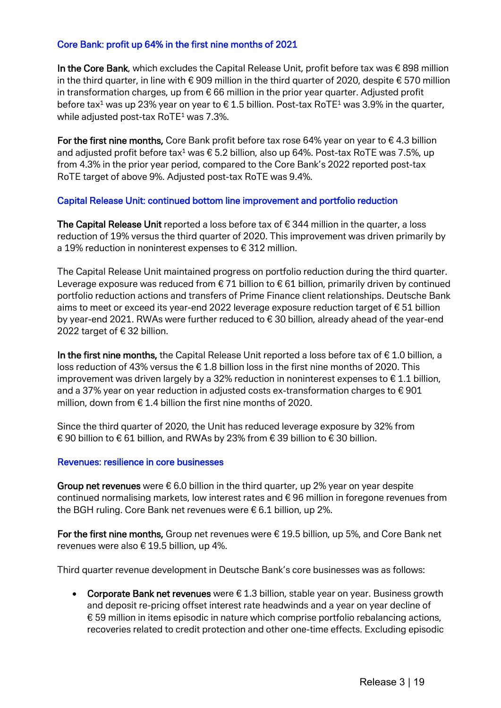#### Core Bank: profit up 64% in the first nine months of 2021

In the Core Bank, which excludes the Capital Release Unit, profit before tax was  $\epsilon$  898 million in the third quarter, in line with  $\epsilon$  909 million in the third quarter of 2020, despite  $\epsilon$  570 million in transformation charges, up from  $\epsilon$  66 million in the prior year quarter. Adjusted profit before tax<sup>1</sup> was up 23% year on year to  $\epsilon$  1.5 billion. Post-tax RoTE<sup>1</sup> was 3.9% in the quarter, while adjusted post-tax  $RoTE^1$  was 7.3%.

For the first nine months, Core Bank profit before tax rose 64% year on year to  $\epsilon$  4.3 billion and adjusted profit before tax<sup>1</sup> was  $\epsilon$  5.2 billion, also up 64%. Post-tax RoTE was 7.5%, up from 4.3% in the prior year period, compared to the Core Bank's 2022 reported post-tax RoTE target of above 9%. Adjusted post-tax RoTE was 9.4%.

#### Capital Release Unit: continued bottom line improvement and portfolio reduction

The Capital Release Unit reported a loss before tax of  $\epsilon$  344 million in the quarter, a loss reduction of 19% versus the third quarter of 2020. This improvement was driven primarily by a 19% reduction in noninterest expenses to € 312 million.

The Capital Release Unit maintained progress on portfolio reduction during the third quarter. Leverage exposure was reduced from  $\epsilon$  71 billion to  $\epsilon$  61 billion, primarily driven by continued portfolio reduction actions and transfers of Prime Finance client relationships. Deutsche Bank aims to meet or exceed its year-end 2022 leverage exposure reduction target of € 51 billion by year-end 2021. RWAs were further reduced to € 30 billion, already ahead of the year-end 2022 target of € 32 billion.

In the first nine months, the Capital Release Unit reported a loss before tax of  $\epsilon$  1.0 billion, a loss reduction of 43% versus the € 1.8 billion loss in the first nine months of 2020. This improvement was driven largely by a 32% reduction in noninterest expenses to  $\epsilon$  1.1 billion, and a 37% year on year reduction in adjusted costs ex-transformation charges to  $\epsilon$  901 million, down from € 1.4 billion the first nine months of 2020.

Since the third quarter of 2020, the Unit has reduced leverage exposure by 32% from € 90 billion to € 61 billion, and RWAs by 23% from € 39 billion to € 30 billion.

#### Revenues: resilience in core businesses

Group net revenues were  $\epsilon$  6.0 billion in the third quarter, up 2% year on year despite continued normalising markets, low interest rates and € 96 million in foregone revenues from the BGH ruling. Core Bank net revenues were € 6.1 billion, up 2%.

For the first nine months, Group net revenues were  $\epsilon$  19.5 billion, up 5%, and Core Bank net revenues were also € 19.5 billion, up 4%.

Third quarter revenue development in Deutsche Bank's core businesses was as follows:

• Corporate Bank net revenues were  $\epsilon$  1.3 billion, stable year on year. Business growth and deposit re-pricing offset interest rate headwinds and a year on year decline of  $€59$  million in items episodic in nature which comprise portfolio rebalancing actions, recoveries related to credit protection and other one-time effects. Excluding episodic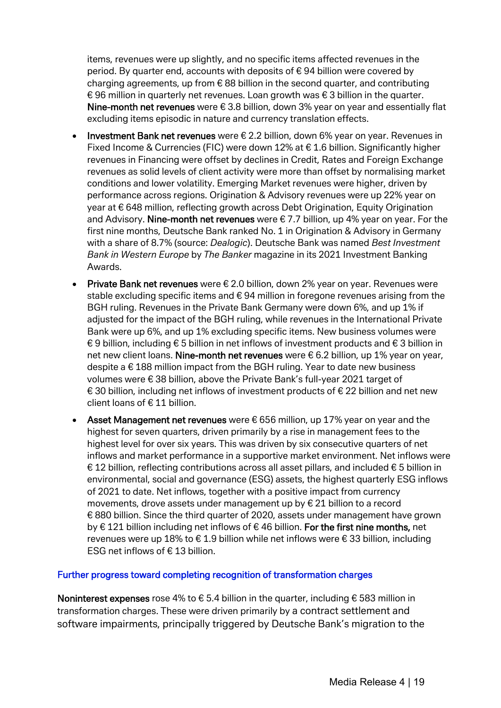items, revenues were up slightly, and no specific items affected revenues in the period. By quarter end, accounts with deposits of € 94 billion were covered by charging agreements, up from € 88 billion in the second quarter, and contributing € 96 million in quarterly net revenues. Loan growth was € 3 billion in the quarter. Nine-month net revenues were  $\epsilon$  3.8 billion, down 3% year on year and essentially flat excluding items episodic in nature and currency translation effects.

- Investment Bank net revenues were € 2.2 billion, down 6% year on year. Revenues in Fixed Income & Currencies (FIC) were down 12% at  $\epsilon$  1.6 billion. Significantly higher revenues in Financing were offset by declines in Credit, Rates and Foreign Exchange revenues as solid levels of client activity were more than offset by normalising market conditions and lower volatility. Emerging Market revenues were higher, driven by performance across regions. Origination & Advisory revenues were up 22% year on year at € 648 million, reflecting growth across Debt Origination, Equity Origination and Advisory. Nine-month net revenues were  $\epsilon$  7.7 billion, up 4% year on year. For the first nine months, Deutsche Bank ranked No. 1 in Origination & Advisory in Germany with a share of 8.7% (source: *Dealogic*). Deutsche Bank was named *Best Investment Bank in Western Europe* by *The Banker* magazine in its 2021 Investment Banking Awards.
- **Private Bank net revenues** were  $\epsilon$  2.0 billion, down 2% year on year. Revenues were stable excluding specific items and €94 million in foregone revenues arising from the BGH ruling. Revenues in the Private Bank Germany were down 6%, and up 1% if adjusted for the impact of the BGH ruling, while revenues in the International Private Bank were up 6%, and up 1% excluding specific items. New business volumes were € 9 billion, including € 5 billion in net inflows of investment products and € 3 billion in net new client loans. Nine-month net revenues were € 6.2 billion, up 1% year on year, despite a € 188 million impact from the BGH ruling. Year to date new business volumes were € 38 billion, above the Private Bank's full-year 2021 target of € 30 billion, including net inflows of investment products of € 22 billion and net new client loans of € 11 billion.
- Asset Management net revenues were € 656 million, up 17% year on year and the highest for seven quarters, driven primarily by a rise in management fees to the highest level for over six years. This was driven by six consecutive quarters of net inflows and market performance in a supportive market environment. Net inflows were € 12 billion, reflecting contributions across all asset pillars, and included € 5 billion in environmental, social and governance (ESG) assets, the highest quarterly ESG inflows of 2021 to date. Net inflows, together with a positive impact from currency movements, drove assets under management up by € 21 billion to a record € 880 billion. Since the third quarter of 2020, assets under management have grown by € 121 billion including net inflows of € 46 billion. For the first nine months, net revenues were up 18% to € 1.9 billion while net inflows were € 33 billion, including ESG net inflows of € 13 billion.

#### Further progress toward completing recognition of transformation charges

Noninterest expenses rose 4% to  $\epsilon$  5.4 billion in the quarter, including  $\epsilon$  583 million in transformation charges. These were driven primarily by a contract settlement and software impairments, principally triggered by Deutsche Bank's migration to the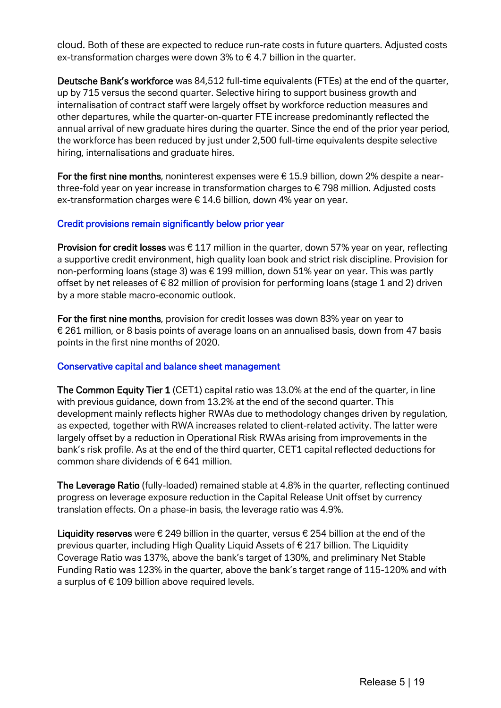cloud. Both of these are expected to reduce run-rate costs in future quarters. Adjusted costs ex-transformation charges were down 3% to  $\epsilon$  4.7 billion in the quarter.

Deutsche Bank's workforce was 84,512 full-time equivalents (FTEs) at the end of the quarter, up by 715 versus the second quarter. Selective hiring to support business growth and internalisation of contract staff were largely offset by workforce reduction measures and other departures, while the quarter-on-quarter FTE increase predominantly reflected the annual arrival of new graduate hires during the quarter. Since the end of the prior year period, the workforce has been reduced by just under 2,500 full-time equivalents despite selective hiring, internalisations and graduate hires.

For the first nine months, noninterest expenses were  $\epsilon$  15.9 billion, down 2% despite a nearthree-fold year on year increase in transformation charges to € 798 million. Adjusted costs ex-transformation charges were € 14.6 billion, down 4% year on year.

#### Credit provisions remain significantly below prior year

**Provision for credit losses** was  $\epsilon$  117 million in the quarter, down 57% year on year, reflecting a supportive credit environment, high quality loan book and strict risk discipline. Provision for non-performing loans (stage 3) was € 199 million, down 51% year on year. This was partly offset by net releases of € 82 million of provision for performing loans (stage 1 and 2) driven by a more stable macro-economic outlook.

For the first nine months, provision for credit losses was down 83% year on year to € 261 million, or 8 basis points of average loans on an annualised basis, down from 47 basis points in the first nine months of 2020.

#### Conservative capital and balance sheet management

The Common Equity Tier 1 (CET1) capital ratio was 13.0% at the end of the quarter, in line with previous guidance, down from 13.2% at the end of the second quarter. This development mainly reflects higher RWAs due to methodology changes driven by regulation, as expected, together with RWA increases related to client-related activity. The latter were largely offset by a reduction in Operational Risk RWAs arising from improvements in the bank's risk profile. As at the end of the third quarter, CET1 capital reflected deductions for common share dividends of € 641 million.

The Leverage Ratio (fully-loaded) remained stable at 4.8% in the quarter, reflecting continued progress on leverage exposure reduction in the Capital Release Unit offset by currency translation effects. On a phase-in basis, the leverage ratio was 4.9%.

Liquidity reserves were  $\epsilon$  249 billion in the quarter, versus  $\epsilon$  254 billion at the end of the previous quarter, including High Quality Liquid Assets of € 217 billion. The Liquidity Coverage Ratio was 137%, above the bank's target of 130%, and preliminary Net Stable Funding Ratio was 123% in the quarter, above the bank's target range of 115-120% and with a surplus of  $\epsilon$  109 billion above required levels.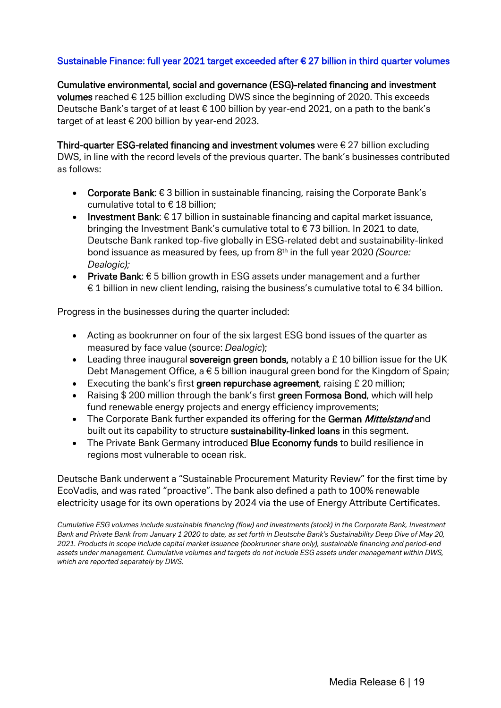#### Sustainable Finance: full year 2021 target exceeded after € 27 billion in third quarter volumes

Cumulative environmental, social and governance (ESG)-related financing and investment volumes reached € 125 billion excluding DWS since the beginning of 2020. This exceeds Deutsche Bank's target of at least € 100 billion by year-end 2021, on a path to the bank's target of at least € 200 billion by year-end 2023.

Third-quarter ESG-related financing and investment volumes were  $\epsilon$  27 billion excluding DWS, in line with the record levels of the previous quarter. The bank's businesses contributed as follows:

- Corporate Bank: € 3 billion in sustainable financing, raising the Corporate Bank's cumulative total to € 18 billion;
- **•** Investment Bank:  $\epsilon$  17 billion in sustainable financing and capital market issuance, bringing the Investment Bank's cumulative total to € 73 billion. In 2021 to date, Deutsche Bank ranked top-five globally in ESG-related debt and sustainability-linked bond issuance as measured by fees, up from 8th in the full year 2020 *(Source: Dealogic);*
- Private Bank: € 5 billion growth in ESG assets under management and a further € 1 billion in new client lending, raising the business's cumulative total to € 34 billion.

Progress in the businesses during the quarter included:

- Acting as bookrunner on four of the six largest ESG bond issues of the quarter as measured by face value (source: *Dealogic*);
- Leading three inaugural sovereign green bonds, notably a £10 billion issue for the UK Debt Management Office, a  $\epsilon$  5 billion inaugural green bond for the Kingdom of Spain;
- Executing the bank's first green repurchase agreement, raising £ 20 million;
- Raising \$200 million through the bank's first green Formosa Bond, which will help fund renewable energy projects and energy efficiency improvements;
- The Corporate Bank further expanded its offering for the German Mittelstand and built out its capability to structure sustainability-linked loans in this segment.
- The Private Bank Germany introduced Blue Economy funds to build resilience in regions most vulnerable to ocean risk.

Deutsche Bank underwent a "Sustainable Procurement Maturity Review" for the first time by EcoVadis, and was rated "proactive". The bank also defined a path to 100% renewable electricity usage for its own operations by 2024 via the use of Energy Attribute Certificates.

*Cumulative ESG volumes include sustainable financing (flow) and investments (stock) in the Corporate Bank, Investment Bank and Private Bank from January 1 2020 to date, as set forth in Deutsche Bank's Sustainability Deep Dive of May 20, 2021. Products in scope include capital market issuance (bookrunner share only), sustainable financing and period-end assets under management. Cumulative volumes and targets do not include ESG assets under management within DWS, which are reported separately by DWS.*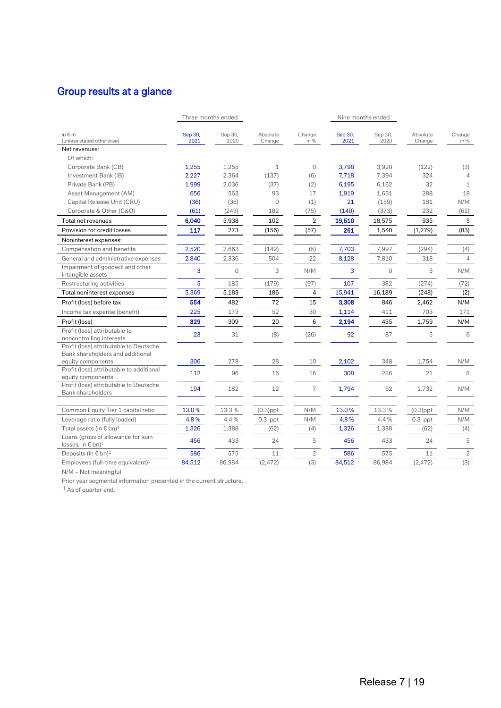# Group results at a glance

|                                                                                                     | Three months ended |                 |                    |                |                 | Nine months ended |                    |                |
|-----------------------------------------------------------------------------------------------------|--------------------|-----------------|--------------------|----------------|-----------------|-------------------|--------------------|----------------|
| in $\notin$ m<br>(unless stated otherwise)                                                          | Sep 30,<br>2021    | Sep 30,<br>2020 | Absolute<br>Change | Change<br>in % | Sep 30,<br>2021 | Sep 30,<br>2020   | Absolute<br>Change | Change<br>in % |
| Net revenues:                                                                                       |                    |                 |                    |                |                 |                   |                    |                |
| Of which:                                                                                           |                    |                 |                    |                |                 |                   |                    |                |
| Corporate Bank (CB)                                                                                 | 1,255              | 1,255           | $\mathbf{1}$       | $\overline{0}$ | 3,798           | 3,920             | (122)              | (3)            |
| Investment Bank (IB)                                                                                | 2,227              | 2,364           | (137)              | (6)            | 7,718           | 7.394             | 324                | 4              |
| Private Bank (PB)                                                                                   | 1,999              | 2,036           | (37)               | (2)            | 6,195           | 6,162             | 32                 | $\mathbf{1}$   |
| Asset Management (AM)                                                                               | 656                | 563             | 93                 | 17             | 1,919           | 1,631             | 288                | 18             |
| Capital Release Unit (CRU)                                                                          | (36)               | (36)            | $\overline{0}$     | (1)            | 21              | (159)             | 181                | N/M            |
| Corporate & Other (C&O)                                                                             | (61)               | (243)           | 182                | (75)           | (140)           | (373)             | 232                | (62)           |
| Total net revenues                                                                                  | 6,040              | 5,938           | 102                | $\overline{2}$ | 19,510          | 18,575            | 935                | 5              |
| Provision for credit losses                                                                         | 117                | 273             | (156)              | (57)           | 261             | 1,540             | (1, 279)           | (83)           |
| Noninterest expenses:                                                                               |                    |                 |                    |                |                 |                   |                    |                |
| Compensation and benefits                                                                           | 2,520              | 2,663           | (142)              | (5)            | 7,703           | 7,997             | (294)              | (4)            |
| General and administrative expenses                                                                 | 2,840              | 2,336           | 504                | 22             | 8,128           | 7,810             | 318                | 4              |
| Impairment of goodwill and other<br>intangible assets                                               | 3                  | $\Omega$        | 3                  | N/M            | 3               | $\Omega$          | 3                  | N/M            |
| Restructuring activities                                                                            | 5                  | 185             | (179)              | (97)           | 107             | 382               | (274)              | (72)           |
| Total noninterest expenses                                                                          | 5,369              | 5,183           | 186                | 4              | 15,941          | 16,189            | (248)              | (2)            |
| Profit (loss) before tax                                                                            | 554                | 482             | 72                 | 15             | 3,308           | 846               | 2,462              | N/M            |
| Income tax expense (benefit)                                                                        | 225                | 173             | 52                 | 30             | 1,114           | 411               | 703                | 171            |
| Profit (loss)                                                                                       | 329                | 309             | 20                 | 6              | 2,194           | 435               | 1,759              | N/M            |
| Profit (loss) attributable to<br>noncontrolling interests<br>Profit (loss) attributable to Deutsche | 23                 | 31              | (8)                | (26)           | 92              | 87                | 5                  | 6              |
| Bank shareholders and additional                                                                    |                    |                 |                    |                |                 |                   |                    |                |
| equity components<br>Profit (loss) attributable to additional                                       | 306                | 278             | 28                 | 10             | 2,102           | 348               | 1,754              | N/M            |
| equity components                                                                                   | 112                | 96              | 16                 | 16             | 308             | 286               | 21                 | 8              |
| Profit (loss) attributable to Deutsche<br>Bank shareholders                                         | 194                | 182             | 12                 | $\overline{7}$ | 1,794           | 62                | 1,732              | N/M            |
| Common Equity Tier 1 capital ratio                                                                  | 13.0%              | 13.3%           | $(0.3)$ ppt        | N/M            | 13.0%           | 13.3%             | $(0.3)$ ppt        | N/M            |
| Leverage ratio (fully loaded)                                                                       | 4.8%               | 4.4%            | $0.3$ ppt          | N/M            | 4.8%            | 4.4%              | $0.3$ ppt          | N/M            |
| Total assets (in € bn) <sup>1</sup>                                                                 | 1,326              | 1,388           | (62)               | (4)            | 1,326           | 1,388             | (62)               | (4)            |
| Loans (gross of allowance for loan                                                                  |                    |                 |                    |                |                 |                   |                    |                |
| losses, in $\in$ bn) <sup>1</sup>                                                                   | 456                | 433             | 24                 | 5              | 456             | 433               | 24                 | 5              |
| Deposits (in $\epsilon$ bn) <sup>1</sup>                                                            | 586                | 575             | 11                 | $\overline{2}$ | 586             | 575               | 11                 | $\overline{2}$ |
| Employees (full-time equivalent) <sup>1</sup>                                                       | 84,512             | 86,984          | (2, 472)           | (3)            | 84,512          | 86,984            | (2, 472)           | (3)            |

N/M – Not meaningful

Prior year segmental information presented in the current structure.

<sup>1</sup> As of quarter end.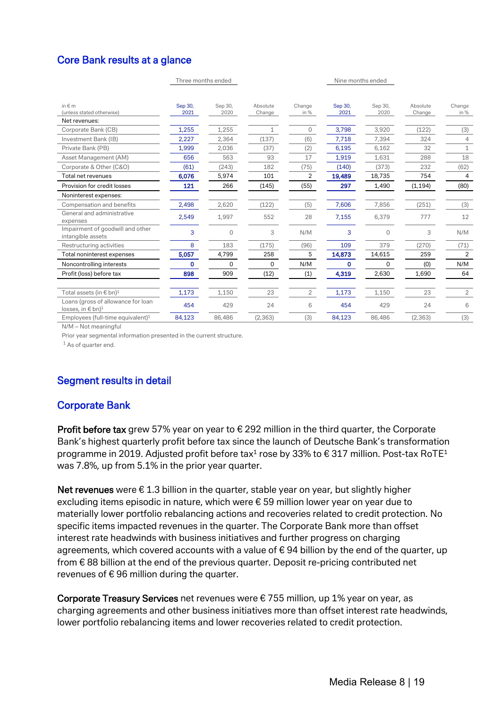# Core Bank results at a glance

|                                                                     | Three months ended |                 |                    |                |                 | Nine months ended |                    |                |
|---------------------------------------------------------------------|--------------------|-----------------|--------------------|----------------|-----------------|-------------------|--------------------|----------------|
| in $\notin$ m<br>(unless stated otherwise)                          | Sep 30,<br>2021    | Sep 30,<br>2020 | Absolute<br>Change | Change<br>in % | Sep 30,<br>2021 | Sep 30,<br>2020   | Absolute<br>Change | Change<br>in % |
| Net revenues:                                                       |                    |                 |                    |                |                 |                   |                    |                |
| Corporate Bank (CB)                                                 | 1,255              | 1,255           | $\mathbf{1}$       | 0              | 3,798           | 3,920             | (122)              | (3)            |
| Investment Bank (IB)                                                | 2,227              | 2,364           | (137)              | (6)            | 7,718           | 7,394             | 324                | $\overline{4}$ |
| Private Bank (PB)                                                   | 1,999              | 2,036           | (37)               | (2)            | 6,195           | 6,162             | 32                 | $\mathbf{1}$   |
| Asset Management (AM)                                               | 656                | 563             | 93                 | 17             | 1,919           | 1,631             | 288                | 18             |
| Corporate & Other (C&O)                                             | (61)               | (243)           | 182                | (75)           | (140)           | (373)             | 232                | (62)           |
| Total net revenues                                                  | 6,076              | 5,974           | 101                | 2              | 19,489          | 18,735            | 754                | 4              |
| Provision for credit losses                                         | 121                | 266             | (145)              | (55)           | 297             | 1,490             | (1, 194)           | (80)           |
| Noninterest expenses:                                               |                    |                 |                    |                |                 |                   |                    |                |
| Compensation and benefits                                           | 2,498              | 2,620           | (122)              | (5)            | 7,606           | 7,856             | (251)              | (3)            |
| General and administrative<br>expenses                              | 2,549              | 1,997           | 552                | 28             | 7,155           | 6,379             | 777                | 12             |
| Impairment of goodwill and other<br>intangible assets               | 3                  | $\Omega$        | 3                  | N/M            | 3               | 0                 | 3                  | N/M            |
| Restructuring activities                                            | 8                  | 183             | (175)              | (96)           | 109             | 379               | (270)              | (71)           |
| Total noninterest expenses                                          | 5,057              | 4,799           | 258                | 5              | 14,873          | 14,615            | 259                | 2              |
| Noncontrolling interests                                            | 0                  | 0               | 0                  | N/M            | 0               | 0                 | (0)                | N/M            |
| Profit (loss) before tax                                            | 898                | 909             | (12)               | (1)            | 4,319           | 2,630             | 1,690              | 64             |
| Total assets (in $\epsilon$ bn) <sup>1</sup>                        | 1,173              | 1,150           | 23                 | $\overline{2}$ | 1,173           | 1,150             | 23                 | $\overline{2}$ |
| Loans (gross of allowance for loan<br>losses, in € bn) <sup>1</sup> | 454                | 429             | 24                 | 6              | 454             | 429               | 24                 | 6              |
| Employees (full-time equivalent) <sup>1</sup>                       | 84,123             | 86,486          | (2, 363)           | (3)            | 84,123          | 86,486            | (2, 363)           | (3)            |

N/M – Not meaningful

Prior year segmental information presented in the current structure.

<sup>1</sup> As of quarter end.

# Segment results in detail

#### Corporate Bank

**Profit before tax** grew 57% year on year to  $\epsilon$  292 million in the third quarter, the Corporate Bank's highest quarterly profit before tax since the launch of Deutsche Bank's transformation programme in 2019. Adjusted profit before tax<sup>1</sup> rose by 33% to  $\epsilon$  317 million. Post-tax RoTE<sup>1</sup> was 7.8%, up from 5.1% in the prior year quarter.

Net revenues were  $\epsilon$  1.3 billion in the quarter, stable year on year, but slightly higher excluding items episodic in nature, which were € 59 million lower year on year due to materially lower portfolio rebalancing actions and recoveries related to credit protection. No specific items impacted revenues in the quarter. The Corporate Bank more than offset interest rate headwinds with business initiatives and further progress on charging agreements, which covered accounts with a value of  $\epsilon$  94 billion by the end of the quarter, up from € 88 billion at the end of the previous quarter. Deposit re-pricing contributed net revenues of  $\epsilon$  96 million during the quarter.

Corporate Treasury Services net revenues were € 755 million, up 1% year on year, as charging agreements and other business initiatives more than offset interest rate headwinds, lower portfolio rebalancing items and lower recoveries related to credit protection.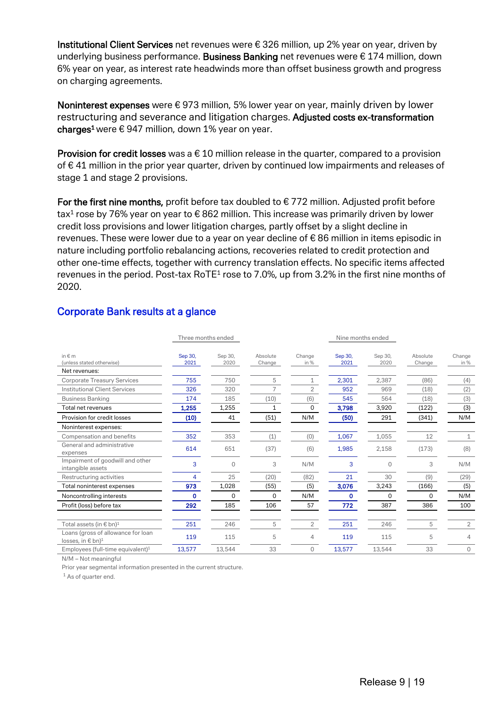Institutional Client Services net revenues were € 326 million, up 2% year on year, driven by underlying business performance. Business Banking net revenues were € 174 million, down 6% year on year, as interest rate headwinds more than offset business growth and progress on charging agreements.

Noninterest expenses were € 973 million, 5% lower year on year, mainly driven by lower restructuring and severance and litigation charges. Adjusted costs ex-transformation charges<sup>1</sup> were  $\epsilon$  947 million, down 1% year on year.

**Provision for credit losses** was a  $\epsilon$  10 million release in the quarter, compared to a provision of € 41 million in the prior year quarter, driven by continued low impairments and releases of stage 1 and stage 2 provisions.

For the first nine months, profit before tax doubled to  $\epsilon$  772 million. Adjusted profit before tax<sup>1</sup> rose by 76% year on year to  $\epsilon$  862 million. This increase was primarily driven by lower credit loss provisions and lower litigation charges, partly offset by a slight decline in revenues. These were lower due to a year on year decline of € 86 million in items episodic in nature including portfolio rebalancing actions, recoveries related to credit protection and other one-time effects, together with currency translation effects. No specific items affected revenues in the period. Post-tax RoTE<sup>1</sup> rose to 7.0%, up from 3.2% in the first nine months of 2020.

|                                                                         | Three months ended |                 |                    |                | Nine months ended |                 |                    |                |  |
|-------------------------------------------------------------------------|--------------------|-----------------|--------------------|----------------|-------------------|-----------------|--------------------|----------------|--|
| in $\notin$ m<br>(unless stated otherwise)                              | Sep 30,<br>2021    | Sep 30,<br>2020 | Absolute<br>Change | Change<br>in % | Sep 30,<br>2021   | Sep 30,<br>2020 | Absolute<br>Change | Change<br>in % |  |
| Net revenues:                                                           |                    |                 |                    |                |                   |                 |                    |                |  |
| <b>Corporate Treasury Services</b>                                      | 755                | 750             | 5                  | 1              | 2,301             | 2,387           | (86)               | (4)            |  |
| <b>Institutional Client Services</b>                                    | 326                | 320             | 7                  | 2              | 952               | 969             | (18)               | (2)            |  |
| <b>Business Banking</b>                                                 | 174                | 185             | (10)               | (6)            | 545               | 564             | (18)               | (3)            |  |
| Total net revenues                                                      | 1,255              | 1,255           |                    | 0              | 3,798             | 3,920           | (122)              | (3)            |  |
| Provision for credit losses                                             | (10)               | 41              | (51)               | N/M            | (50)              | 291             | (341)              | N/M            |  |
| Noninterest expenses:                                                   |                    |                 |                    |                |                   |                 |                    |                |  |
| Compensation and benefits                                               | 352                | 353             | (1)                | (0)            | 1,067             | 1,055           | 12                 | 1              |  |
| General and administrative<br>expenses                                  | 614                | 651             | (37)               | (6)            | 1,985             | 2,158           | (173)              | (8)            |  |
| Impairment of goodwill and other<br>intangible assets                   | 3                  | $\Omega$        | 3                  | N/M            | 3                 | $\Omega$        | 3                  | N/M            |  |
| Restructuring activities                                                | 4                  | 25              | (20)               | (82)           | 21                | 30              | (9)                | (29)           |  |
| Total noninterest expenses                                              | 973                | 1,028           | (55)               | (5)            | 3,076             | 3,243           | (166)              | (5)            |  |
| Noncontrolling interests                                                | 0                  | 0               | 0                  | N/M            | $\mathbf 0$       | 0               | 0                  | N/M            |  |
| Profit (loss) before tax                                                | 292                | 185             | 106                | 57             | 772               | 387             | 386                | 100            |  |
| Total assets (in € bn) <sup>1</sup>                                     | 251                | 246             | 5                  | $\overline{2}$ | 251               | 246             | 5                  | $\overline{2}$ |  |
| Loans (gross of allowance for loan<br>losses, in $\in$ bn) <sup>1</sup> | 119                | 115             | 5                  | $\overline{4}$ | 119               | 115             | 5                  | 4              |  |
| Employees (full-time equivalent) <sup>1</sup>                           | 13,577             | 13,544          | 33                 | $\Omega$       | 13,577            | 13,544          | 33                 | $\circ$        |  |

## Corporate Bank results at a glance

N/M – Not meaningful

Prior year segmental information presented in the current structure.

<sup>1</sup> As of quarter end.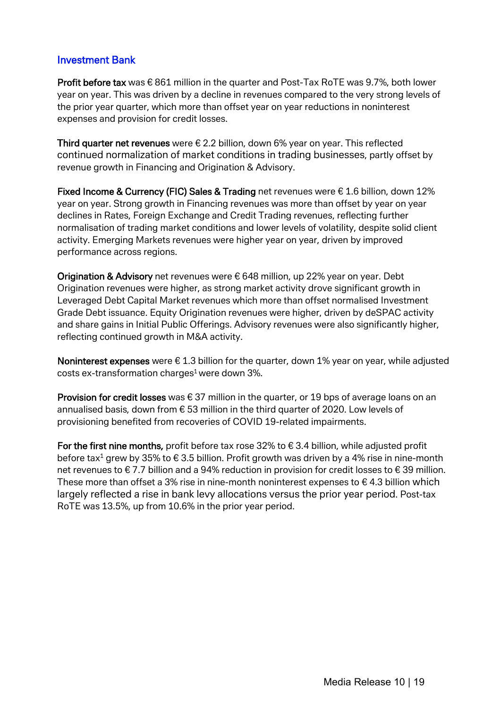#### Investment Bank

Profit before tax was € 861 million in the quarter and Post-Tax RoTE was 9.7%, both lower year on year. This was driven by a decline in revenues compared to the very strong levels of the prior year quarter, which more than offset year on year reductions in noninterest expenses and provision for credit losses.

Third quarter net revenues were  $\epsilon$  2.2 billion, down 6% year on year. This reflected continued normalization of market conditions in trading businesses, partly offset by revenue growth in Financing and Origination & Advisory.

Fixed Income & Currency (FIC) Sales & Trading net revenues were € 1.6 billion, down 12% year on year. Strong growth in Financing revenues was more than offset by year on year declines in Rates, Foreign Exchange and Credit Trading revenues, reflecting further normalisation of trading market conditions and lower levels of volatility, despite solid client activity. Emerging Markets revenues were higher year on year, driven by improved performance across regions.

Origination & Advisory net revenues were  $\epsilon$  648 million, up 22% year on year. Debt Origination revenues were higher, as strong market activity drove significant growth in Leveraged Debt Capital Market revenues which more than offset normalised Investment Grade Debt issuance. Equity Origination revenues were higher, driven by deSPAC activity and share gains in Initial Public Offerings. Advisory revenues were also significantly higher, reflecting continued growth in M&A activity.

Noninterest expenses were  $\epsilon$  1.3 billion for the quarter, down 1% year on year, while adjusted costs ex-transformation charges<sup>1</sup> were down  $3\%$ .

**Provision for credit losses** was  $\in$  37 million in the quarter, or 19 bps of average loans on an annualised basis, down from € 53 million in the third quarter of 2020. Low levels of provisioning benefited from recoveries of COVID 19-related impairments.

For the first nine months, profit before tax rose 32% to  $\epsilon$  3.4 billion, while adjusted profit before tax<sup>1</sup> grew by 35% to  $\epsilon$  3.5 billion. Profit growth was driven by a 4% rise in nine-month net revenues to € 7.7 billion and a 94% reduction in provision for credit losses to € 39 million. These more than offset a 3% rise in nine-month noninterest expenses to  $\epsilon$  4.3 billion which largely reflected a rise in bank levy allocations versus the prior year period. Post-tax RoTE was 13.5%, up from 10.6% in the prior year period.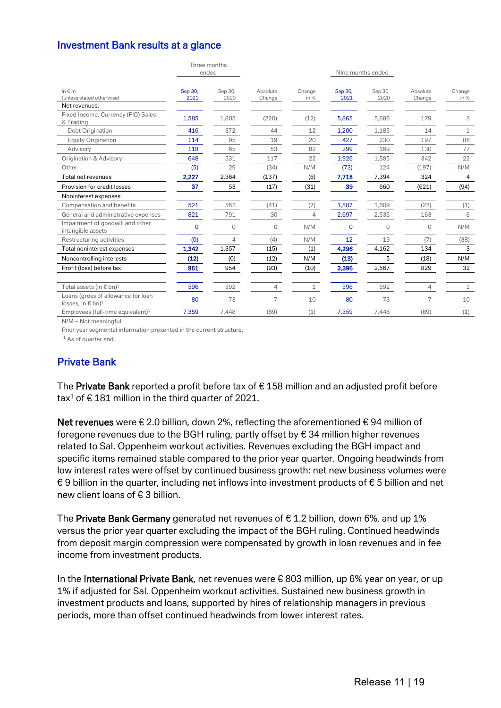#### Investment Bank results at a glance

|                                                                     |             | Three months<br>ended |                |              |          | Nine months ended |                |              |
|---------------------------------------------------------------------|-------------|-----------------------|----------------|--------------|----------|-------------------|----------------|--------------|
|                                                                     |             |                       |                |              |          |                   |                |              |
| in $\notin$ m                                                       | Sep 30,     | Sep 30,               | Absolute       | Change       | Sep 30,  | Sep 30,           | Absolute       | Change       |
| (unless stated otherwise)                                           | 2021        | 2020                  | Change         | in %         | 2021     | 2020              | Change         | in %         |
| Net revenues:                                                       |             |                       |                |              |          |                   |                |              |
| Fixed Income, Currency (FIC) Sales<br>& Trading                     | 1,585       | 1,805                 | (220)          | (12)         | 5,865    | 5,686             | 179            | 3            |
| Debt Origination                                                    | 416         | 372                   | 44             | 12           | 1,200    | 1,185             | 14             | $\mathbf{1}$ |
| <b>Equity Origination</b>                                           | 114         | 95                    | 19             | 20           | 427      | 230               | 197            | 86           |
| Advisory                                                            | 118         | 65                    | 53             | 82           | 299      | 169               | 130            | 77           |
| Origination & Advisory                                              | 648         | 531                   | 117            | 22           | 1,926    | 1,585             | 342            | 22           |
| Other                                                               | (5)         | 29                    | (34)           | N/M          | (73)     | 124               | (197)          | N/M          |
| Total net revenues                                                  | 2,227       | 2,364                 | (137)          | (6)          | 7,718    | 7,394             | 324            | 4            |
| Provision for credit losses                                         | 37          | 53                    | (17)           | (31)         | 39       | 660               | (621)          | (94)         |
| Noninterest expenses:                                               |             |                       |                |              |          |                   |                |              |
| Compensation and benefits                                           | 521         | 562                   | (41)           | (7)          | 1,587    | 1,609             | (22)           | (1)          |
| General and administrative expenses                                 | 821         | 791                   | 30             | 4            | 2,697    | 2,535             | 163            | 6            |
| Impairment of goodwill and other<br>intangible assets               | $\mathbf 0$ | $\Omega$              | $\Omega$       | N/M          | $\Omega$ | $\Omega$          | 0              | N/M          |
| Restructuring activities                                            | (0)         | 4                     | (4)            | N/M          | 12       | 19                | (7)            | (38)         |
| Total noninterest expenses                                          | 1,342       | 1,357                 | (15)           | (1)          | 4,296    | 4,162             | 134            | 3            |
| Noncontrolling interests                                            | (12)        | (0)                   | (12)           | N/M          | (13)     | 5                 | (18)           | N/M          |
| Profit (loss) before tax                                            | 861         | 954                   | (93)           | (10)         | 3,396    | 2,567             | 829            | 32           |
| Total assets (in $\epsilon$ bn) <sup>1</sup>                        | 596         | 592                   | $\overline{4}$ | $\mathbf{1}$ | 596      | 592               | $\overline{4}$ | $\mathbf{1}$ |
| Loans (gross of allowance for loan<br>losses, in € bn) <sup>1</sup> | 80          | 73                    | 7              | 10           | 80       | 73                | 7              | 10           |
| Employees (full-time equivalent) <sup>1</sup>                       | 7,359       | 7.448                 | (89)           | (1)          | 7,359    | 7.448             | (89)           | (1)          |

N/M – Not meaningful

Prior year segmental information presented in the current structure.

 $1$  As of quarter end.

#### Private Bank

The Private Bank reported a profit before tax of  $\epsilon$  158 million and an adjusted profit before tax<sup>1</sup> of € 181 million in the third quarter of 2021.

Net revenues were € 2.0 billion, down 2%, reflecting the aforementioned € 94 million of foregone revenues due to the BGH ruling, partly offset by € 34 million higher revenues related to Sal. Oppenheim workout activities. Revenues excluding the BGH impact and specific items remained stable compared to the prior year quarter. Ongoing headwinds from low interest rates were offset by continued business growth: net new business volumes were € 9 billion in the quarter, including net inflows into investment products of € 5 billion and net new client loans of € 3 billion.

The Private Bank Germany generated net revenues of  $\epsilon$  1.2 billion, down 6%, and up 1% versus the prior year quarter excluding the impact of the BGH ruling. Continued headwinds from deposit margin compression were compensated by growth in loan revenues and in fee income from investment products.

In the International Private Bank, net revenues were € 803 million, up 6% year on year, or up 1% if adjusted for Sal. Oppenheim workout activities. Sustained new business growth in investment products and loans, supported by hires of relationship managers in previous periods, more than offset continued headwinds from lower interest rates.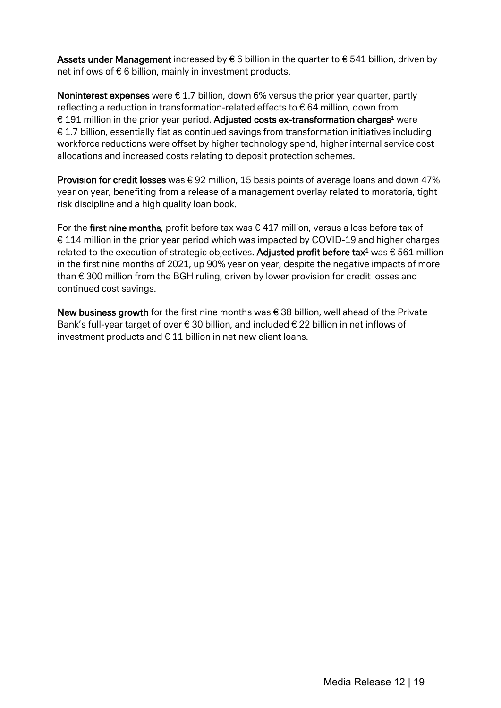Assets under Management increased by  $\epsilon$  6 billion in the quarter to  $\epsilon$  541 billion, driven by net inflows of  $\epsilon$  6 billion, mainly in investment products.

Noninterest expenses were  $\epsilon$  1.7 billion, down 6% versus the prior year quarter, partly reflecting a reduction in transformation-related effects to  $\epsilon$  64 million, down from € 191 million in the prior year period. Adjusted costs ex-transformation charges<sup>1</sup> were  $E$  1.7 billion, essentially flat as continued savings from transformation initiatives including workforce reductions were offset by higher technology spend, higher internal service cost allocations and increased costs relating to deposit protection schemes.

**Provision for credit losses** was  $\epsilon$  92 million, 15 basis points of average loans and down 47% year on year, benefiting from a release of a management overlay related to moratoria, tight risk discipline and a high quality loan book.

For the first nine months, profit before tax was  $\epsilon$  417 million, versus a loss before tax of € 114 million in the prior year period which was impacted by COVID-19 and higher charges related to the execution of strategic objectives. Adjusted profit before tax<sup>1</sup> was  $\epsilon$  561 million in the first nine months of 2021, up 90% year on year, despite the negative impacts of more than € 300 million from the BGH ruling, driven by lower provision for credit losses and continued cost savings.

New business growth for the first nine months was  $\epsilon$  38 billion, well ahead of the Private Bank's full-year target of over € 30 billion, and included € 22 billion in net inflows of investment products and  $\epsilon$  11 billion in net new client loans.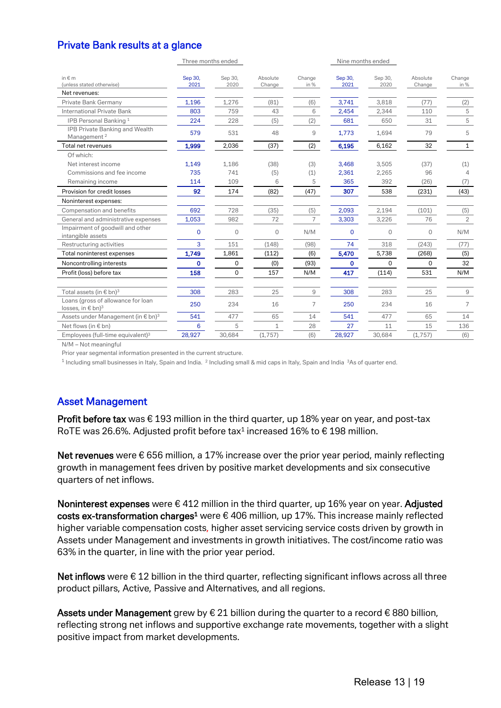## Private Bank results at a glance

|                                                                         |                 | Three months ended |                    |                |                 | Nine months ended |                    |                |
|-------------------------------------------------------------------------|-----------------|--------------------|--------------------|----------------|-----------------|-------------------|--------------------|----------------|
| in $\notin$ m<br>(unless stated otherwise)<br>Net revenues:             | Sep 30,<br>2021 | Sep 30,<br>2020    | Absolute<br>Change | Change<br>in % | Sep 30,<br>2021 | Sep 30,<br>2020   | Absolute<br>Change | Change<br>in % |
| Private Bank Germany                                                    | 1,196           | 1,276              | (81)               | (6)            | 3,741           | 3,818             | (77)               | (2)            |
| International Private Bank                                              | 803             | 759                | 43                 | 6              | 2,454           | 2,344             | 110                | 5              |
| IPB Personal Banking <sup>1</sup>                                       | 224             | 228                | (5)                | (2)            | 681             | 650               | 31                 | 5              |
| IPB Private Banking and Wealth<br>Management <sup>2</sup>               | 579             | 531                | 48                 | 9              | 1,773           | 1,694             | 79                 | 5              |
| Total net revenues                                                      | 1,999           | 2,036              | (37)               | (2)            | 6,195           | 6,162             | 32                 | $\mathbf{1}$   |
| Of which:                                                               |                 |                    |                    |                |                 |                   |                    |                |
| Net interest income                                                     | 1,149           | 1,186              | (38)               | (3)            | 3,468           | 3,505             | (37)               | (1)            |
| Commissions and fee income                                              | 735             | 741                | (5)                | (1)            | 2.361           | 2,265             | 96                 | $\Delta$       |
| Remaining income                                                        | 114             | 109                | 6                  | 5              | 365             | 392               | (26)               | (7)            |
| Provision for credit losses                                             | 92              | 174                | (82)               | (47)           | 307             | 538               | (231)              | (43)           |
| Noninterest expenses:                                                   |                 |                    |                    |                |                 |                   |                    |                |
| Compensation and benefits                                               | 692             | 728                | (35)               | (5)            | 2,093           | 2,194             | (101)              | (5)            |
| General and administrative expenses                                     | 1,053           | 982                | 72                 | $\overline{7}$ | 3.303           | 3,226             | 76                 | $\overline{2}$ |
| Impairment of goodwill and other<br>intangible assets                   | 0               | 0                  | 0                  | N/M            | $\mathbf 0$     | $\mathbf{0}$      | $\mathbf{0}$       | N/M            |
| Restructuring activities                                                | 3               | 151                | (148)              | (98)           | 74              | 318               | (243)              | (77)           |
| Total noninterest expenses                                              | 1,749           | 1,861              | (112)              | (6)            | 5,470           | 5,738             | (268)              | (5)            |
| Noncontrolling interests                                                | $\mathbf 0$     | 0                  | (0)                | (93)           | 0               | 0                 | 0                  | 32             |
| Profit (loss) before tax                                                | 158             | 0                  | 157                | N/M            | 417             | (114)             | 531                | N/M            |
| Total assets (in $\epsilon$ bn) <sup>3</sup>                            | 308             | 283                | 25                 | 9              | 308             | 283               | 25                 | 9              |
| Loans (gross of allowance for loan<br>losses, in $\in$ bn) <sup>3</sup> | 250             | 234                | 16                 | 7              | 250             | 234               | 16                 | 7              |
| Assets under Management (in € bn) <sup>3</sup>                          | 541             | 477                | 65                 | 14             | 541             | 477               | 65                 | 14             |
| Net flows (in € bn)                                                     | 6               | 5                  | 1                  | 28             | 27              | 11                | 15                 | 136            |
| Employees (full-time equivalent) <sup>3</sup>                           | 28,927          | 30,684             | (1,757)            | (6)            | 28,927          | 30,684            | (1,757)            | (6)            |

N/M – Not meaningful

Prior year segmental information presented in the current structure.

<sup>1</sup> Including small businesses in Italy, Spain and India. <sup>2</sup> Including small & mid caps in Italy, Spain and India <sup>3</sup>As of quarter end.

#### Asset Management

Profit before tax was  $\epsilon$  193 million in the third quarter, up 18% year on year, and post-tax RoTE was 26.6%. Adjusted profit before tax<sup>1</sup> increased 16% to  $\epsilon$  198 million.

Net revenues were  $\epsilon$  656 million, a 17% increase over the prior year period, mainly reflecting growth in management fees driven by positive market developments and six consecutive quarters of net inflows.

Noninterest expenses were  $\epsilon$  412 million in the third quarter, up 16% year on year. Adjusted costs ex-transformation charges<sup>1</sup> were  $\epsilon$  406 million, up 17%. This increase mainly reflected higher variable compensation costs, higher asset servicing service costs driven by growth in Assets under Management and investments in growth initiatives. The cost/income ratio was 63% in the quarter, in line with the prior year period.

Net inflows were  $\epsilon$  12 billion in the third quarter, reflecting significant inflows across all three product pillars, Active, Passive and Alternatives, and all regions.

Assets under Management grew by  $\epsilon$  21 billion during the quarter to a record  $\epsilon$  880 billion, reflecting strong net inflows and supportive exchange rate movements, together with a slight positive impact from market developments.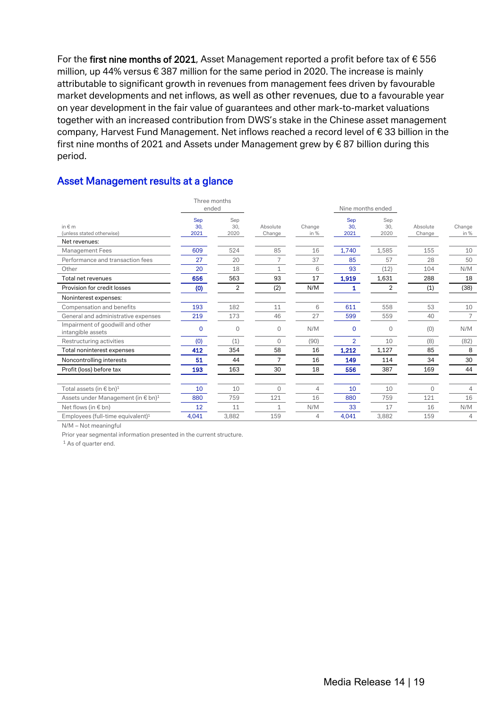For the first nine months of 2021, Asset Management reported a profit before tax of  $\epsilon$  556 million, up 44% versus € 387 million for the same period in 2020. The increase is mainly attributable to significant growth in revenues from management fees driven by favourable market developments and net inflows, as well as other revenues, due to a favourable year on year development in the fair value of guarantees and other mark-to-market valuations together with an increased contribution from DWS's stake in the Chinese asset management company, Harvest Fund Management. Net inflows reached a record level of € 33 billion in the first nine months of 2021 and Assets under Management grew by  $\epsilon$  87 billion during this period.

|                                                       | Three months<br>ended |                    |                    |                | Nine months ended  |                    |                    |                |
|-------------------------------------------------------|-----------------------|--------------------|--------------------|----------------|--------------------|--------------------|--------------------|----------------|
| in $\notin$ m<br>(unless stated otherwise)            | Sep<br>30,<br>2021    | Sep<br>30.<br>2020 | Absolute<br>Change | Change<br>in % | Sep<br>30.<br>2021 | Sep<br>30.<br>2020 | Absolute<br>Change | Change<br>in % |
| Net revenues:                                         |                       |                    |                    |                |                    |                    |                    |                |
| Management Fees                                       | 609                   | 524                | 85                 | 16             | 1,740              | 1,585              | 155                | 10             |
| Performance and transaction fees                      | 27                    | 20                 | 7                  | 37             | 85                 | 57                 | 28                 | 50             |
| Other                                                 | 20                    | 18                 | $\mathbf{1}$       | 6              | 93                 | (12)               | 104                | N/M            |
| Total net revenues                                    | 656                   | 563                | 93                 | 17             | 1,919              | 1,631              | 288                | 18             |
| Provision for credit losses                           | (0)                   | $\overline{2}$     | (2)                | N/M            | 1                  | 2                  | (1)                | (38)           |
| Noninterest expenses:                                 |                       |                    |                    |                |                    |                    |                    |                |
| Compensation and benefits                             | 193                   | 182                | 11                 | 6              | 611                | 558                | 53                 | 10             |
| General and administrative expenses                   | 219                   | 173                | 46                 | 27             | 599                | 559                | 40                 | $\overline{7}$ |
| Impairment of goodwill and other<br>intangible assets | $\Omega$              | $\mathbf 0$        | 0                  | N/M            | 0                  | $\Omega$           | (0)                | N/M            |
| Restructuring activities                              | (0)                   | (1)                | 0                  | (90)           | $\overline{2}$     | 10                 | (8)                | (82)           |
| Total noninterest expenses                            | 412                   | 354                | 58                 | 16             | 1,212              | 1,127              | 85                 | 8              |
| Noncontrolling interests                              | 51                    | 44                 | 7                  | 16             | 149                | 114                | 34                 | 30             |
| Profit (loss) before tax                              | 193                   | 163                | 30                 | 18             | 556                | 387                | 169                | 44             |
|                                                       |                       |                    |                    |                |                    |                    |                    |                |
| Total assets (in $\epsilon$ bn) <sup>1</sup>          | 10                    | 10                 | 0                  | $\overline{4}$ | 10                 | 10                 | 0                  | $\overline{4}$ |
| Assets under Management (in € bn) <sup>1</sup>        | 880                   | 759                | 121                | 16             | 880                | 759                | 121                | 16             |
| Net flows (in $\notin$ bn)                            | 12                    | 11                 | $\mathbf{1}$       | N/M            | 33                 | 17                 | 16                 | N/M            |
| Employees (full-time equivalent) <sup>1</sup>         | 4,041                 | 3,882              | 159                | 4              | 4,041              | 3,882              | 159                | $\overline{4}$ |

#### Asset Management results at a glance

N/M – Not meaningful

Prior year segmental information presented in the current structure.

<sup>1</sup> As of quarter end.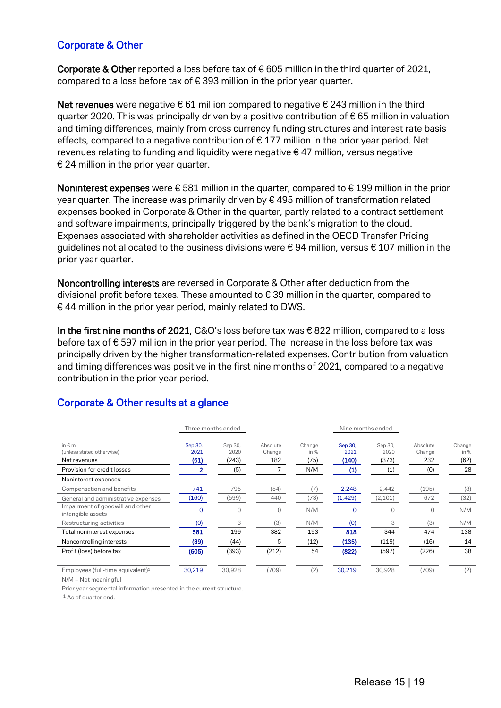#### Corporate & Other

Corporate & Other reported a loss before tax of  $\epsilon$  605 million in the third quarter of 2021, compared to a loss before tax of € 393 million in the prior year quarter.

Net revenues were negative € 61 million compared to negative € 243 million in the third quarter 2020. This was principally driven by a positive contribution of  $\epsilon$  65 million in valuation and timing differences, mainly from cross currency funding structures and interest rate basis effects, compared to a negative contribution of  $\epsilon$  177 million in the prior year period. Net revenues relating to funding and liquidity were negative  $\epsilon$  47 million, versus negative € 24 million in the prior year quarter.

Noninterest expenses were  $\epsilon$  581 million in the quarter, compared to  $\epsilon$  199 million in the prior year quarter. The increase was primarily driven by  $\epsilon$  495 million of transformation related expenses booked in Corporate & Other in the quarter, partly related to a contract settlement and software impairments, principally triggered by the bank's migration to the cloud. Expenses associated with shareholder activities as defined in the OECD Transfer Pricing guidelines not allocated to the business divisions were  $\epsilon$  94 million, versus  $\epsilon$  107 million in the prior year quarter.

Noncontrolling interests are reversed in Corporate & Other after deduction from the divisional profit before taxes. These amounted to  $\epsilon$  39 million in the quarter, compared to  $\epsilon$  44 million in the prior year period, mainly related to DWS.

In the first nine months of 2021, C&O's loss before tax was € 822 million, compared to a loss before tax of € 597 million in the prior year period. The increase in the loss before tax was principally driven by the higher transformation-related expenses. Contribution from valuation and timing differences was positive in the first nine months of 2021, compared to a negative contribution in the prior year period.

#### Corporate & Other results at a glance

|                                                       | Three months ended |                 |                    |                |                 |                 |                    |                |
|-------------------------------------------------------|--------------------|-----------------|--------------------|----------------|-----------------|-----------------|--------------------|----------------|
| in $\notin$ m<br>(unless stated otherwise)            | Sep 30,<br>2021    | Sep 30,<br>2020 | Absolute<br>Change | Change<br>in % | Sep 30,<br>2021 | Sep 30,<br>2020 | Absolute<br>Change | Change<br>in % |
| Net revenues                                          | (61)               | (243)           | 182                | (75)           | (140)           | (373)           | 232                | (62)           |
| Provision for credit losses                           |                    | (5)             |                    | N/M            | (1)             | (1)             | (0)                | 28             |
| Noninterest expenses:                                 |                    |                 |                    |                |                 |                 |                    |                |
| Compensation and benefits                             | 741                | 795             | (54)               | (7)            | 2,248           | 2,442           | (195)              | (8)            |
| General and administrative expenses                   | (160)              | (599)           | 440                | (73)           | (1, 429)        | (2,101)         | 672                | (32)           |
| Impairment of goodwill and other<br>intangible assets | $\Omega$           | $\Omega$        | $\Omega$           | N/M            | $\Omega$        | 0               | 0                  | N/M            |
| Restructuring activities                              | (0)                | 3               | (3)                | N/M            | (0)             | 3               | (3)                | N/M            |
| Total noninterest expenses                            | 581                | 199             | 382                | 193            | 818             | 344             | 474                | 138            |
| Noncontrolling interests                              | (39)               | (44)            | 5                  | (12)           | (135)           | (119)           | (16)               | 14             |
| Profit (loss) before tax                              | (605)              | (393)           | (212)              | 54             | (822)           | (597)           | (226)              | 38             |
| Employees (full-time equivalent) <sup>1</sup>         | 30,219             | 30,928          | (709)              | (2)            | 30,219          | 30,928          | (709)              | (2)            |

N/M – Not meaningful

Prior year segmental information presented in the current structure.

<sup>1</sup> As of quarter end.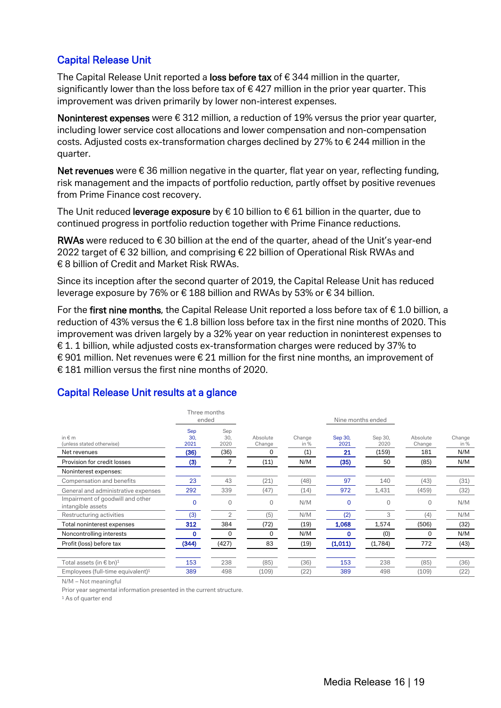## Capital Release Unit

The Capital Release Unit reported a loss before tax of  $\epsilon$  344 million in the quarter, significantly lower than the loss before tax of  $\epsilon$  427 million in the prior year quarter. This improvement was driven primarily by lower non-interest expenses.

Noninterest expenses were  $\epsilon$  312 million, a reduction of 19% versus the prior year quarter, including lower service cost allocations and lower compensation and non-compensation costs. Adjusted costs ex-transformation charges declined by 27% to € 244 million in the quarter.

Net revenues were  $\epsilon$  36 million negative in the quarter, flat year on year, reflecting funding, risk management and the impacts of portfolio reduction, partly offset by positive revenues from Prime Finance cost recovery.

The Unit reduced leverage exposure by  $\epsilon$  10 billion to  $\epsilon$  61 billion in the quarter, due to continued progress in portfolio reduction together with Prime Finance reductions.

RWAs were reduced to  $\epsilon$  30 billion at the end of the quarter, ahead of the Unit's year-end 2022 target of € 32 billion, and comprising € 22 billion of Operational Risk RWAs and € 8 billion of Credit and Market Risk RWAs.

Since its inception after the second quarter of 2019, the Capital Release Unit has reduced leverage exposure by 76% or € 188 billion and RWAs by 53% or € 34 billion.

For the first nine months, the Capital Release Unit reported a loss before tax of  $\epsilon$  1.0 billion, a reduction of 43% versus the € 1.8 billion loss before tax in the first nine months of 2020. This improvement was driven largely by a 32% year on year reduction in noninterest expenses to  $\epsilon$  1. 1 billion, while adjusted costs ex-transformation charges were reduced by 37% to € 901 million. Net revenues were  $\epsilon$  21 million for the first nine months, an improvement of € 181 million versus the first nine months of 2020.

| Three months<br>ended                                 |                    |                    | Nine months ended  |                |                 |                 |                    |                       |  |  |
|-------------------------------------------------------|--------------------|--------------------|--------------------|----------------|-----------------|-----------------|--------------------|-----------------------|--|--|
| in $\notin$ m<br>(unless stated otherwise)            | Sep<br>30,<br>2021 | Sep<br>30.<br>2020 | Absolute<br>Change | Change<br>in % | Sep 30,<br>2021 | Sep 30,<br>2020 | Absolute<br>Change | Change<br>in %<br>N/M |  |  |
| Net revenues                                          | (36)               | (36)               | 0                  | (1)            | 21              | (159)           | 181                |                       |  |  |
| Provision for credit losses                           | (3)                |                    | (11)               | N/M            | (35)            | 50              | (85)               | N/M                   |  |  |
| Noninterest expenses:                                 |                    |                    |                    |                |                 |                 |                    |                       |  |  |
| Compensation and benefits                             | 23                 | 43                 | (21)               | (48)           | 97              | 140             | (43)               | (31)                  |  |  |
| General and administrative expenses                   | 292                | 339                | (47)               | (14)           | 972             | 1,431           | (459)              | (32)                  |  |  |
| Impairment of goodwill and other<br>intangible assets | O                  | $\Omega$           | 0                  | N/M            | 0               | 0               | 0                  | N/M                   |  |  |
| Restructuring activities                              | (3)                | $\overline{2}$     | (5)                | N/M            | (2)             | 3               | (4)                | N/M                   |  |  |
| Total noninterest expenses                            | 312                | 384                | (72)               | (19)           | 1,068           | 1,574           | (506)              | (32)                  |  |  |
| Noncontrolling interests                              | 0                  | $\Omega$           | 0                  | N/M            | 0               | (0)             | 0                  | N/M                   |  |  |
| Profit (loss) before tax                              | (344)              | (427)              | 83                 | (19)           | (1,011)         | (1,784)         | 772                | (43)                  |  |  |
| Total assets (in € bn) $^1$                           | 153                | 238                | (85)               | (36)           | 153             | 238             | (85)               | (36)                  |  |  |
| Employees (full-time equivalent) $1$                  | 389                | 498                | (109)              | (22)           | 389             | 498             | (109)              | (22)                  |  |  |

# Capital Release Unit results at a glance

N/M – Not meaningful

Prior year segmental information presented in the current structure.

<sup>1</sup> As of quarter end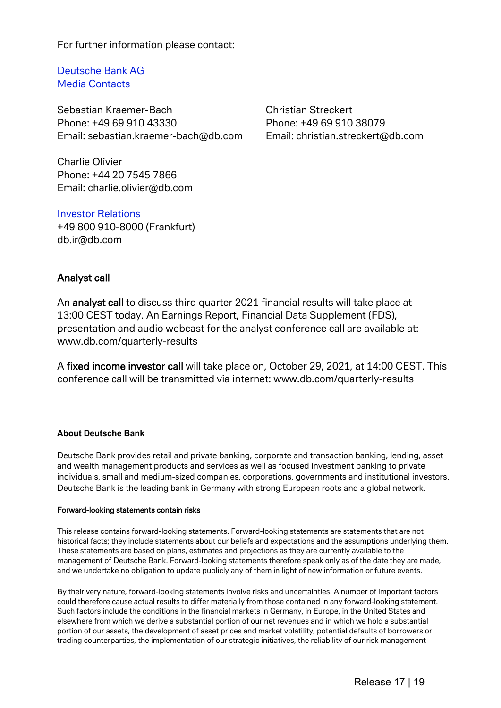For further information please contact:

Deutsche Bank AG Media Contacts

Sebastian Kraemer-Bach Christian Streckert Phone: +49 69 910 43330 Phone: +49 69 910 38079 Email: [sebastian.kraemer-bach@db.com](mailto:sebastian.kraemer-bach@db.com) Email: [christian.streckert@db.com](mailto:christian.streckert@db.com)

Charlie Olivier Phone: +44 20 7545 7866 Email: charlie.olivier@db.com

Investor Relations +49 800 910-8000 (Frankfurt) db.ir@db.com

#### Analyst call

An analyst call to discuss third quarter 2021 financial results will take place at 13:00 CEST today. An Earnings Report, Financial Data Supplement (FDS), presentation and audio webcast for the analyst conference call are available at: [www.db.com/quarterly-results](http://www.db.com/quarterly-results)

A fixed income investor call will take place on, October 29, 2021, at 14:00 CEST. This conference call will be transmitted via internet: [www.db.com/quarterly-results](http://www.db.com/quarterly-results)

#### **About Deutsche Bank**

Deutsche Bank provides retail and private banking, corporate and transaction banking, lending, asset and wealth management products and services as well as focused investment banking to private individuals, small and medium-sized companies, corporations, governments and institutional investors. Deutsche Bank is the leading bank in Germany with strong European roots and a global network.

#### Forward-looking statements contain risks

This release contains forward-looking statements. Forward-looking statements are statements that are not historical facts; they include statements about our beliefs and expectations and the assumptions underlying them. These statements are based on plans, estimates and projections as they are currently available to the management of Deutsche Bank. Forward-looking statements therefore speak only as of the date they are made, and we undertake no obligation to update publicly any of them in light of new information or future events.

By their very nature, forward-looking statements involve risks and uncertainties. A number of important factors could therefore cause actual results to differ materially from those contained in any forward-looking statement. Such factors include the conditions in the financial markets in Germany, in Europe, in the United States and elsewhere from which we derive a substantial portion of our net revenues and in which we hold a substantial portion of our assets, the development of asset prices and market volatility, potential defaults of borrowers or trading counterparties, the implementation of our strategic initiatives, the reliability of our risk management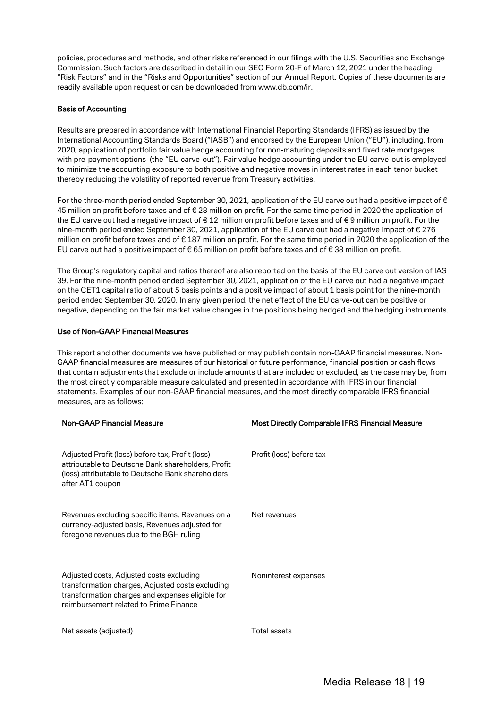policies, procedures and methods, and other risks referenced in our filings with the U.S. Securities and Exchange Commission. Such factors are described in detail in our SEC Form 20-F of March 12, 2021 under the heading "Risk Factors" and in the "Risks and Opportunities" section of our Annual Report. Copies of these documents are readily available upon request or can be downloaded from [www.db.com/ir.](http://www.db.com/ir) 

#### Basis of Accounting

Results are prepared in accordance with International Financial Reporting Standards (IFRS) as issued by the International Accounting Standards Board ("IASB") and endorsed by the European Union ("EU"), including, from 2020, application of portfolio fair value hedge accounting for non-maturing deposits and fixed rate mortgages with pre-payment options (the "EU carve-out"). Fair value hedge accounting under the EU carve-out is employed to minimize the accounting exposure to both positive and negative moves in interest rates in each tenor bucket thereby reducing the volatility of reported revenue from Treasury activities.

For the three-month period ended September 30, 2021, application of the EU carve out had a positive impact of  $\epsilon$ 45 million on profit before taxes and of € 28 million on profit. For the same time period in 2020 the application of the EU carve out had a negative impact of € 12 million on profit before taxes and of € 9 million on profit. For the nine-month period ended September 30, 2021, application of the EU carve out had a negative impact of € 276 million on profit before taxes and of € 187 million on profit. For the same time period in 2020 the application of the EU carve out had a positive impact of € 65 million on profit before taxes and of € 38 million on profit.

The Group's regulatory capital and ratios thereof are also reported on the basis of the EU carve out version of IAS 39. For the nine-month period ended September 30, 2021, application of the EU carve out had a negative impact on the CET1 capital ratio of about 5 basis points and a positive impact of about 1 basis point for the nine-month period ended September 30, 2020. In any given period, the net effect of the EU carve-out can be positive or negative, depending on the fair market value changes in the positions being hedged and the hedging instruments.

#### Use of Non-GAAP Financial Measures

This report and other documents we have published or may publish contain non-GAAP financial measures. Non-GAAP financial measures are measures of our historical or future performance, financial position or cash flows that contain adjustments that exclude or include amounts that are included or excluded, as the case may be, from the most directly comparable measure calculated and presented in accordance with IFRS in our financial statements. Examples of our non-GAAP financial measures, and the most directly comparable IFRS financial measures, are as follows:

| <b>Non-GAAP Financial Measure</b>                                                                                                                                                          | <b>Most Directly Comparable IFRS Financial Measure</b> |
|--------------------------------------------------------------------------------------------------------------------------------------------------------------------------------------------|--------------------------------------------------------|
| Adjusted Profit (loss) before tax, Profit (loss)<br>attributable to Deutsche Bank shareholders, Profit<br>(loss) attributable to Deutsche Bank shareholders<br>after AT1 coupon            | Profit (loss) before tax                               |
| Revenues excluding specific items, Revenues on a<br>currency-adjusted basis, Revenues adjusted for<br>foregone revenues due to the BGH ruling                                              | Net revenues                                           |
| Adjusted costs, Adjusted costs excluding<br>transformation charges, Adjusted costs excluding<br>transformation charges and expenses eligible for<br>reimbursement related to Prime Finance | Noninterest expenses                                   |
| Net assets (adjusted)                                                                                                                                                                      | Total assets                                           |